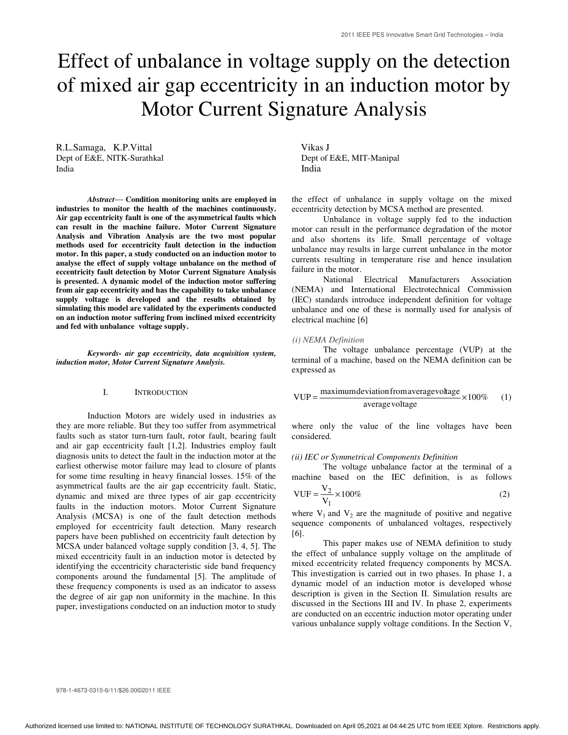# Effect of unbalance in voltage supply on the detection of mixed air gap eccentricity in an induction motor by Motor Current Signature Analysis

R.L.Samaga, K.P.Vittal Vikas J Dept of E&E, NITK-Surathkal Dept of E&E, MIT-Manipal India **India** 

*Abstract*— **Condition monitoring units are employed in industries to monitor the health of the machines continuously. Air gap eccentricity fault is one of the asymmetrical faults which can result in the machine failure. Motor Current Signature Analysis and Vibration Analysis are the two most popular methods used for eccentricity fault detection in the induction motor. In this paper, a study conducted on an induction motor to analyse the effect of supply voltage unbalance on the method of eccentricity fault detection by Motor Current Signature Analysis is presented. A dynamic model of the induction motor suffering from air gap eccentricity and has the capability to take unbalance supply voltage is developed and the results obtained by simulating this model are validated by the experiments conducted on an induction motor suffering from inclined mixed eccentricity and fed with unbalance voltage supply.** 

*Keywords- air gap eccentricity, data acquisition system, induction motor, Motor Current Signature Analysis.* 

## I. INTRODUCTION

Induction Motors are widely used in industries as they are more reliable. But they too suffer from asymmetrical faults such as stator turn-turn fault, rotor fault, bearing fault and air gap eccentricity fault [1,2]. Industries employ fault diagnosis units to detect the fault in the induction motor at the earliest otherwise motor failure may lead to closure of plants for some time resulting in heavy financial losses. 15% of the asymmetrical faults are the air gap eccentricity fault. Static, dynamic and mixed are three types of air gap eccentricity faults in the induction motors. Motor Current Signature Analysis (MCSA) is one of the fault detection methods employed for eccentricity fault detection. Many research papers have been published on eccentricity fault detection by MCSA under balanced voltage supply condition [3, 4, 5]. The mixed eccentricity fault in an induction motor is detected by identifying the eccentricity characteristic side band frequency components around the fundamental [5]. The amplitude of these frequency components is used as an indicator to assess the degree of air gap non uniformity in the machine. In this paper, investigations conducted on an induction motor to study

the effect of unbalance in supply voltage on the mixed eccentricity detection by MCSA method are presented.

Unbalance in voltage supply fed to the induction motor can result in the performance degradation of the motor and also shortens its life. Small percentage of voltage unbalance may results in large current unbalance in the motor currents resulting in temperature rise and hence insulation failure in the motor.

National Electrical Manufacturers Association (NEMA) and International Electrotechnical Commission (IEC) standards introduce independent definition for voltage unbalance and one of these is normally used for analysis of electrical machine [6]

#### *(i) NEMA Definition*

The voltage unbalance percentage (VUP) at the terminal of a machine, based on the NEMA definition can be expressed as

VUP = 
$$
\frac{\text{maximum deviation from average voltage}}{\text{average voltage}} \times 100\% \qquad (1)
$$

where only the value of the line voltages have been considered.

#### *(ii) IEC or Symmetrical Components Definition*

The voltage unbalance factor at the terminal of a machine based on the IEC definition, is as follows

VUF = 
$$
\frac{V_2}{V_1} \times 100\%
$$
 (2)

where  $V_1$  and  $V_2$  are the magnitude of positive and negative sequence components of unbalanced voltages, respectively [6].

This paper makes use of NEMA definition to study the effect of unbalance supply voltage on the amplitude of mixed eccentricity related frequency components by MCSA. This investigation is carried out in two phases. In phase 1, a dynamic model of an induction motor is developed whose description is given in the Section II. Simulation results are discussed in the Sections III and IV. In phase 2, experiments are conducted on an eccentric induction motor operating under various unbalance supply voltage conditions. In the Section V,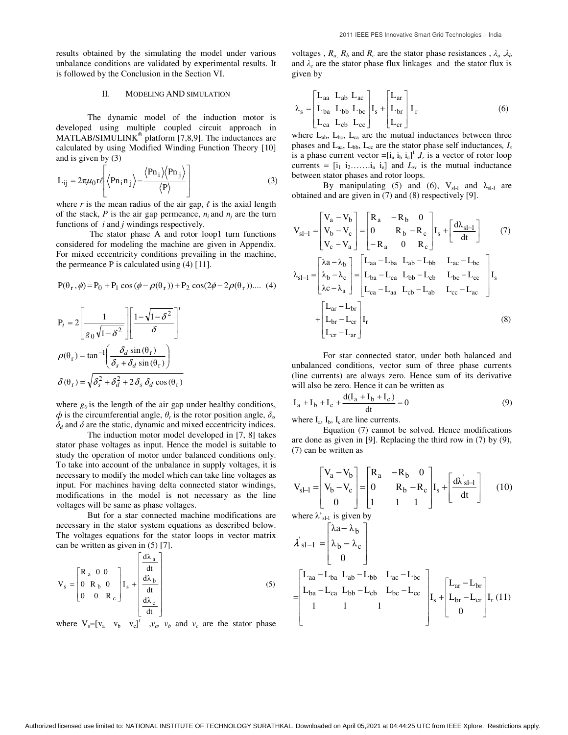results obtained by the simulating the model under various unbalance conditions are validated by experimental results. It is followed by the Conclusion in the Section VI.

#### II. MODELING AND SIMULATION

The dynamic model of the induction motor is developed using multiple coupled circuit approach in  $MATLAB/SIMULINK<sup>®</sup> platform [7,8,9]$ . The inductances are calculated by using Modified Winding Function Theory [10] and is given by (3)

$$
L_{ij} = 2\pi\mu_0 r \ell \left[ \left\langle P n_i n_j \right\rangle - \frac{\left\langle P n_i \right\rangle \left\langle P n_j \right\rangle}{\left\langle P \right\rangle} \right]
$$
 (3)

where  $r$  is the mean radius of the air gap,  $\ell$  is the axial length of the stack,  $P$  is the air gap permeance,  $n_i$  and  $n_j$  are the turn functions of *i* and *j* windings respectively.

 The stator phase A and rotor loop1 turn functions considered for modeling the machine are given in Appendix. For mixed eccentricity conditions prevailing in the machine, the permeance  $P$  is calculated using  $(4)$  [11].

$$
P(\theta_r, \phi) = P_0 + P_1 \cos(\phi - \rho(\theta_r)) + P_2 \cos(2\phi - 2\rho(\theta_r)) \dots (4)
$$

$$
P_i = 2 \left[ \frac{1}{g_0 \sqrt{1 - \delta^2}} \right] \left[ \frac{1 - \sqrt{1 - \delta^2}}{\delta} \right]^i
$$
  

$$
\rho(\theta_r) = \tan^{-1} \left( \frac{\delta_d \sin(\theta_r)}{\delta_s + \delta_d \sin(\theta_r)} \right)
$$
  

$$
\delta(\theta_r) = \sqrt{\delta_s^2 + \delta_d^2 + 2 \delta_s \delta_d \cos(\theta_r)}
$$

where  $g_0$  is the length of the air gap under healthy conditions,  $\phi$  is the circumferential angle,  $\theta_r$  is the rotor position angle,  $\delta_s$  $\delta_d$  and  $\delta$  are the static, dynamic and mixed eccentricity indices.

The induction motor model developed in [7, 8] takes stator phase voltages as input. Hence the model is suitable to study the operation of motor under balanced conditions only. To take into account of the unbalance in supply voltages, it is necessary to modify the model which can take line voltages as input. For machines having delta connected stator windings, modifications in the model is not necessary as the line voltages will be same as phase voltages.

But for a star connected machine modifications are necessary in the stator system equations as described below. The voltages equations for the stator loops in vector matrix can be written as given in (5) [7].

$$
V_s = \begin{bmatrix} R_a & 0 & 0 \\ 0 & R_b & 0 \\ 0 & 0 & R_c \end{bmatrix} I_s + \begin{bmatrix} \frac{d\lambda_a}{dt} \\ \frac{d\lambda_b}{dt} \\ \frac{d\lambda_c}{dt} \end{bmatrix}
$$
 (5)

where  $V_s = [v_a \quad v_b \quad v_c]^t$  ,  $v_a$ ,  $v_b$  and  $v_c$  are the stator phase

voltages,  $R_a$ ,  $R_b$  and  $R_c$  are the stator phase resistances,  $\lambda_a$ ,  $\lambda_b$ and  $\lambda_c$  are the stator phase flux linkages and the stator flux is given by

$$
\lambda_{s} = \begin{bmatrix} L_{aa} & L_{ab} & L_{ac} \\ L_{ba} & L_{bb} & L_{bc} \\ L_{ca} & L_{cb} & L_{cc} \end{bmatrix} I_{s} + \begin{bmatrix} L_{ar} \\ L_{br} \\ L_{cr} \end{bmatrix} I_{r}
$$
 (6)

where  $L_{ab}$ ,  $L_{bc}$ ,  $L_{ca}$  are the mutual inductances between three phases and  $L_{aa}$ ,  $L_{bb}$ ,  $L_{cc}$  are the stator phase self inductances,  $I_s$ is a phase current vector  $=[i_a i_b i_c]^t$ ,  $I_r$  is a vector of rotor loop currents =  $[i_1 \ i_2 \ldots \ldots \ i_n \ i_e]$  and  $L_{sr}$  is the mutual inductance between stator phases and rotor loops.

By manipulating (5) and (6),  $V_{sl-l}$  and  $\lambda_{sl-l}$  are obtained and are given in (7) and (8) respectively [9].

$$
V_{sl-1} = \begin{bmatrix} V_a - V_b \\ V_b - V_c \\ V_c - V_a \end{bmatrix} = \begin{bmatrix} R_a & -R_b & 0 \\ 0 & R_b - R_c \\ -R_a & 0 & R_c \end{bmatrix} I_s + \begin{bmatrix} \frac{d\lambda_{sl-1}}{dt} \\ dt \end{bmatrix}
$$
(7)  

$$
\lambda_{sl-1} = \begin{bmatrix} \lambda a - \lambda_b \\ \lambda_b - \lambda_c \\ \lambda c - \lambda_a \end{bmatrix} = \begin{bmatrix} L_{aa} - L_{ba} & L_{ab} - L_{bb} & L_{ac} - L_{bc} \\ L_{ba} - L_{ca} & L_{bb} - L_{cb} & L_{bc} - L_{cc} \\ L_{ca} - L_{aa} & L_{cb} - L_{ab} & L_{cc} - L_{ac} \end{bmatrix} I_s
$$

$$
+ \begin{bmatrix} L_{ar} - L_{br} \\ L_{br} - L_{cr} \\ L_{cr} - L_{ar} \end{bmatrix} I_r
$$
(8)

For star connected stator, under both balanced and unbalanced conditions, vector sum of three phase currents (line currents) are always zero. Hence sum of its derivative will also be zero. Hence it can be written as

$$
I_a + I_b + I_c + \frac{d(I_a + I_b + I_c)}{dt} = 0
$$
\n(9)

where  $I_a$ ,  $I_b$ ,  $I_c$  are line currents.

Equation (7) cannot be solved. Hence modifications are done as given in [9]. Replacing the third row in (7) by (9), (7) can be written as

$$
V_{sI-I} = \begin{bmatrix} V_a - V_b \\ V_b - V_c \\ 0 \end{bmatrix} = \begin{bmatrix} R_a & -R_b & 0 \\ 0 & R_b - R_c \\ 1 & 1 & 1 \end{bmatrix} I_s + \begin{bmatrix} d\lambda_{sI-I} \frac{d\lambda_{sI-I}}{dt} \end{bmatrix}
$$
 (10)

where  $\lambda$ <sup>'</sup><sub>sl-l</sub> is given by

$$
\lambda'_{s1-1} = \begin{bmatrix} \lambda a - \lambda_b \\ \lambda_b - \lambda_c \\ 0 \end{bmatrix}
$$
  
= 
$$
\begin{bmatrix} L_{aa} - L_{ba} & L_{ab} - L_{bb} & L_{ac} - L_{bc} \\ L_{ba} - L_{ca} & L_{bb} - L_{cb} & L_{bc} - L_{cc} \\ 1 & 1 & 1 \end{bmatrix} I_s + \begin{bmatrix} L_{ar} - L_{br} \\ L_{br} - L_{cr} \\ 0 \end{bmatrix} I_r (11)
$$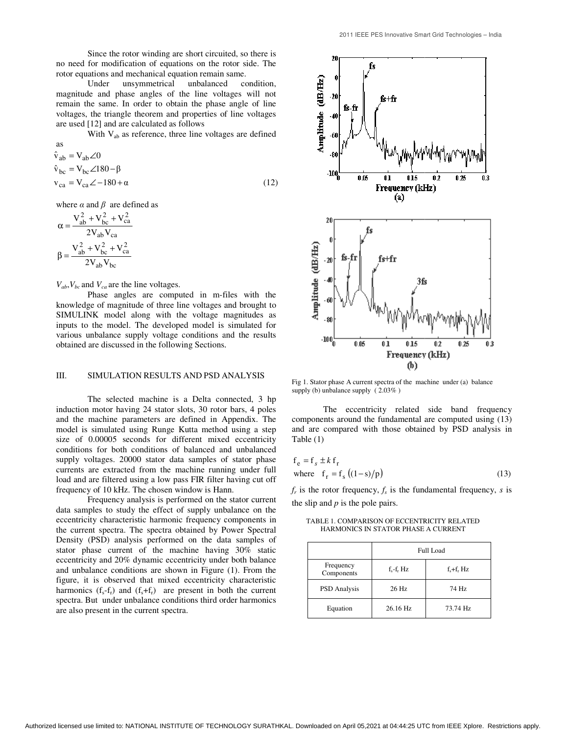Since the rotor winding are short circuited, so there is no need for modification of equations on the rotor side. The rotor equations and mechanical equation remain same.

Under unsymmetrical unbalanced condition, magnitude and phase angles of the line voltages will not remain the same. In order to obtain the phase angle of line voltages, the triangle theorem and properties of line voltages are used [12] and are calculated as follows Since the rotor winding are short circuited, s<br>no need for modification of equations on the rotor  $\cdot$ <br>rotor equations and mechanical equation remain same<br>Under unsymmetrical unbalanced c<br>magnitude and phase angles of the

With V<sub>ab</sub> as reference, three line voltages are defined as

$$
\hat{v}_{ab} = V_{ab} \angle 0
$$
  
\n
$$
\hat{v}_{bc} = V_{bc} \angle 180 - \beta
$$
  
\n
$$
v_{ca} = V_{ca} \angle -180 + \alpha
$$
 (12)

where  $\alpha$  and  $\beta$  are defined as

$$
\alpha=\frac{V_{ab}^2+V_{bc}^2+V_{ca}^2}{2V_{ab}V_{ca}}
$$

$$
\beta=\frac{V_{ab}^2+V_{bc}^2+V_{ca}^2}{2V_{ab}V_{bc}}
$$

 $V_{ab}$ ,  $V_{bc}$  and  $V_{ca}$  are the line voltages.

Phase angles are computed in m-files with the knowledge of magnitude of three line voltages and brought to SIMULINK model along with the voltage magnitudes as inputs to the model. The developed model is simulated various unbalance supply voltage conditions and the results<br>obtained are discussed in the following Sections.<br>III. SIMULATION RESULTS AND PSD ANALYSIS obtained are discussed in the following Sections. files are computed in m-files with the magnitude of three line voltages and brought to model along with the voltage magnitudes as model. The developed model is simulated for

## III. SIMULATION RESULTS AND PSD ANALYSIS

The selected machine is a Delta connected, 3 hp induction motor having 24 stator slots, 30 rotor bars, 4 poles and the machine parameters are defined in Appendix. The model is simulated using Runge Kutta method size of 0.00005 seconds for different mixed eccentricity conditions for both conditions of balanced and unbalanced supply voltages. 20000 stator data samples of stator phase currents are extracted from the machine running under full load and are filtered using a low pass FIR filter having cut off frequency of 10 kHz. The chosen window is Hann. In induction motor having 24 stator slots, 30 rotor bars, 4 poles and the machine parameters are defined in Appendix. The model is simulated using Runge Kutta method using a step

Frequency analysis is performed on the stator current data samples to study the effect of supply unbalance on the eccentricity characteristic harmonic frequency components in the current spectra. The spectra obtained by Power Spectral Density (PSD) analysis performed on the data samples of stator phase current of the machine having 30% static eccentricity and 20% dynamic eccentricity under both balance and unbalance conditions are shown in Figure (1). From the figure, it is observed that mixed eccentricity characteristic harmonics  $(f_s - f_r)$  and  $(f_s + f_r)$  are present in both the current harmonics  $(f_s - f_r)$  and  $(f_s + f_r)$  are present in both the current spectra. But under unbalance conditions third order harmonics are also present in the current spectra. conditions for both conditions of balanced and unbalanced<br>supply voltages. 20000 stator data samples of stator phase<br>currents are extracted from the machine running under full<br>load and are filtered using a low pass FIR fil the rotor winding are short circuited, so there is the notor whom the content<br>undiffication of equations on the rotor side. The<br>stand mechanical cquations creation creations.<br>
In the valuation creation creation condition,



Fig 1. Stator phase A current spectra of the machine under (a) balance supply (b) unbalance supply ( 2.03% )

The eccentricity related side band frequency The eccentricity related side band frequency components around the fundamental are computed using (13) and are compared with those obtained by PSD analysis in and are compared with those obtained by PSD analysis in Table (1)

$$
f_e = f_s \pm k f_r
$$
  
where  $f_r = f_s ((1-s)/p)$  (13)

 $f_r$  is the rotor frequency,  $f_s$  is the fundamental frequency, *s* is the slip and  $p$  is the pole pairs.

TABLE 1. COMPARISON OF ECCENTRICITY RELATED HARMONICS IN STATOR PHASE A CURRENT

|                         | Full Load      |                |  |
|-------------------------|----------------|----------------|--|
| Frequency<br>Components | $f_s - f_r$ Hz | $f_s + f_r$ Hz |  |
| <b>PSD</b> Analysis     | 26 Hz          | 74 Hz          |  |
| Equation                | 26.16 Hz       | 73.74 Hz       |  |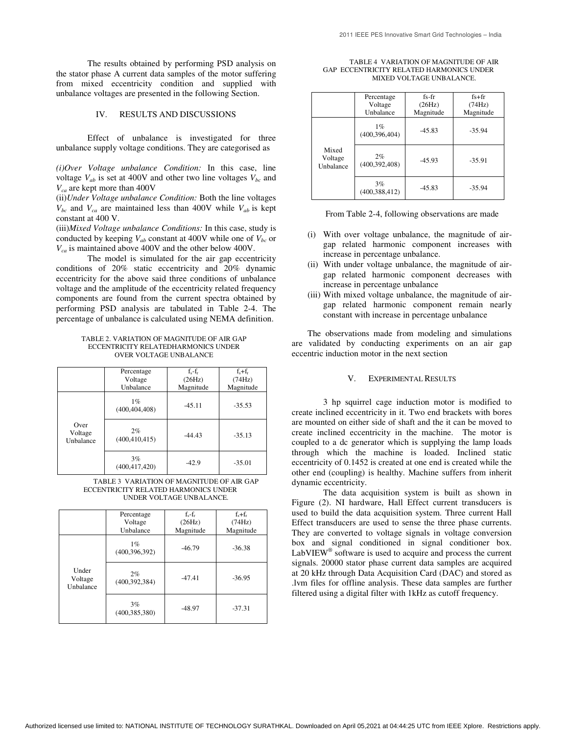The results obtained by performing PSD analysis on the stator phase A current data samples of the motor suffering from mixed eccentricity condition and supplied with unbalance voltages are presented in the following Section.

## IV. RESULTS AND DISCUSSIONS

Effect of unbalance is investigated for three unbalance supply voltage conditions. They are categorised as

*(i)Over Voltage unbalance Condition:* In this case, line voltage  $V_{ab}$  is set at 400V and other two line voltages  $V_{bc}$  and *Vca* are kept more than 400V

(ii)*Under Voltage unbalance Condition:* Both the line voltages  $V_{bc}$  and  $V_{ca}$  are maintained less than 400V while  $V_{ab}$  is kept constant at 400 V.

(iii)*Mixed Voltage unbalance Conditions:* In this case, study is conducted by keeping  $V_{ab}$  constant at 400V while one of  $V_{bc}$  or *Vca* is maintained above 400V and the other below 400V.

 The model is simulated for the air gap eccentricity conditions of 20% static eccentricity and 20% dynamic eccentricity for the above said three conditions of unbalance voltage and the amplitude of the eccentricity related frequency components are found from the current spectra obtained by performing PSD analysis are tabulated in Table 2-4. The percentage of unbalance is calculated using NEMA definition.

TABLE 2. VARIATION OF MAGNITUDE OF AIR GAP ECCENTRICITY RELATEDHARMONICS UNDER OVER VOLTAGE UNBALANCE

|                              | Percentage<br>Voltage<br>Unbalance | $f_s - f_r$<br>(26Hz)<br>Magnitude | $f_s + f_r$<br>(74Hz)<br>Magnitude |
|------------------------------|------------------------------------|------------------------------------|------------------------------------|
| Over<br>Voltage<br>Unbalance | $1\%$<br>(400, 404, 408)           | $-45.11$                           | $-35.53$                           |
|                              | 2%<br>(400, 410, 415)              | $-44.43$                           | $-35.13$                           |
|                              | 3%<br>(400, 417, 420)              | $-42.9$                            | $-35.01$                           |

TABLE 3 VARIATION OF MAGNITUDE OF AIR GAP ECCENTRICITY RELATED HARMONICS UNDER UNDER VOLTAGE UNBALANCE.

|                               | Percentage<br>Voltage<br>Unbalance | $f_s - f_r$<br>(26Hz)<br>Magnitude | $f_{s}+f_{r}$<br>(74Hz)<br>Magnitude |
|-------------------------------|------------------------------------|------------------------------------|--------------------------------------|
| Under<br>Voltage<br>Unbalance | 1%<br>(400, 396, 392)              | $-46.79$                           | $-36.38$                             |
|                               | 2%<br>(400, 392, 384)              | $-47.41$                           | $-36.95$                             |
|                               | 3%<br>(400, 385, 380)              | $-48.97$                           | $-37.31$                             |

| TABLE 4 VARIATION OF MAGNITUDE OF AIR    |
|------------------------------------------|
| GAP ECCENTRICITY RELATED HARMONICS UNDER |
| MIXED VOLTAGE UNBALANCE.                 |

|                               | Percentage<br>Voltage<br>Unbalance | $fs$ - $fr$<br>(26Hz)<br>Magnitude | $fs+fr$<br>(74Hz)<br>Magnitude |
|-------------------------------|------------------------------------|------------------------------------|--------------------------------|
| Mixed<br>Voltage<br>Unbalance | $1\%$<br>(400, 396, 404)           | $-45.83$                           | $-35.94$                       |
|                               | 2%<br>(400, 392, 408)              | $-45.93$                           | $-35.91$                       |
|                               | 3%<br>(400, 388, 412)              | $-45.83$                           | $-35.94$                       |

- (i) With over voltage unbalance, the magnitude of airgap related harmonic component increases with increase in percentage unbalance.
- (ii) With under voltage unbalance, the magnitude of airgap related harmonic component decreases with increase in percentage unbalance
- (iii) With mixed voltage unbalance, the magnitude of airgap related harmonic component remain nearly constant with increase in percentage unbalance

The observations made from modeling and simulations are validated by conducting experiments on an air gap eccentric induction motor in the next section

## V. EXPERIMENTAL RESULTS

3 hp squirrel cage induction motor is modified to create inclined eccentricity in it. Two end brackets with bores are mounted on either side of shaft and the it can be moved to create inclined eccentricity in the machine. The motor is coupled to a dc generator which is supplying the lamp loads through which the machine is loaded. Inclined static eccentricity of 0.1452 is created at one end is created while the other end (coupling) is healthy. Machine suffers from inherit dynamic eccentricity.

The data acquisition system is built as shown in Figure (2). NI hardware, Hall Effect current transducers is used to build the data acquisition system. Three current Hall Effect transducers are used to sense the three phase currents. They are converted to voltage signals in voltage conversion box and signal conditioned in signal conditioner box.  $LabVIEW^@$  software is used to acquire and process the current signals. 20000 stator phase current data samples are acquired at 20 kHz through Data Acquisition Card (DAC) and stored as .lvm files for offline analysis. These data samples are further filtered using a digital filter with 1kHz as cutoff frequency.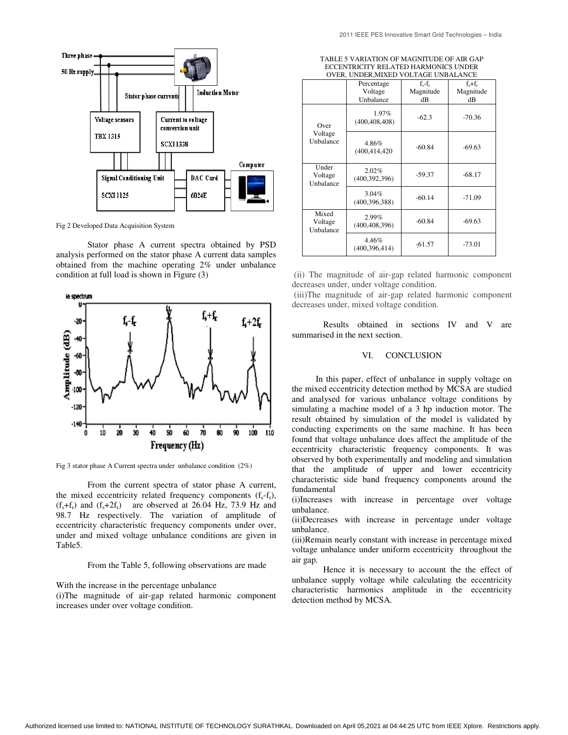

Fig 2 Developed Data Acquisition System

Stator phase A current spectra obtained by PSD analysis performed on the stator phase A current data samples Stator phase A current spectra obtained by PSD analysis performed on the stator phase A current data samples obtained from the machine operating 2% under unbalance condition at full load is shown in Figure (3)



Fig 3 stator phase A Current spectra under unbalance condition  $(2\%)$ 

From the current spectra of stator phase A current, From the current spectra of stator phase A current, the mixed eccentricity related frequency components  $(f_s - f_r)$ ,  $(f<sub>s</sub>+f<sub>r</sub>)$  and  $(f<sub>s</sub>+2f<sub>r</sub>)$  are observed at 26.04 Hz, 73.9 Hz and 98.7 Hz respectively. The variation of amplitude of eccentricity characteristic frequency components under over, under and mixed voltage unbalance conditions are given in Table5.  $(f_s + f_r)$  and  $(f_s + 2f_r)$  are observed at 26.04 Hz, 73.9 Hz and<br>98.7 Hz respectively. The variation of amplitude of<br>eccentricity characteristic frequency components under over,<br>under and mixed voltage unbalance conditions a

From the Table 5, following observations are made

With the increase in the percentage unbalance

(i)The magnitude of air-gap related harmoni increases under over voltage condition.

| TABLE 5 VARIATION OF MAGNITUDE OF AIR GAP |
|-------------------------------------------|
| ECCENTRICITY RELATED HARMONICS UNDER      |
| OVER. UNDER MIXED VOLTAGE UNBALANCE       |

|                              |                                                                                 | ECCENTRICITY RELATED HARMONICS UNDER<br>OVER, UNDER, MIXED VOLTAGE UNBALANCE                       |                                |                                                                                                                                                                                                                                                                                                                                                                                                                                                                                                                                                                                                                                                                                                                                                                                                                                                                                                                       |  |
|------------------------------|---------------------------------------------------------------------------------|----------------------------------------------------------------------------------------------------|--------------------------------|-----------------------------------------------------------------------------------------------------------------------------------------------------------------------------------------------------------------------------------------------------------------------------------------------------------------------------------------------------------------------------------------------------------------------------------------------------------------------------------------------------------------------------------------------------------------------------------------------------------------------------------------------------------------------------------------------------------------------------------------------------------------------------------------------------------------------------------------------------------------------------------------------------------------------|--|
|                              |                                                                                 | Percentage<br>Voltage<br>Unbalance                                                                 | $f_s - f_r$<br>Magnitude<br>dB | $f_s + f_r$<br>Magnitude<br>dB                                                                                                                                                                                                                                                                                                                                                                                                                                                                                                                                                                                                                                                                                                                                                                                                                                                                                        |  |
| Over<br>Voltage<br>Unbalance | 1.97%<br>(400, 408, 408)                                                        | $-62.3$                                                                                            | $-70.36$                       |                                                                                                                                                                                                                                                                                                                                                                                                                                                                                                                                                                                                                                                                                                                                                                                                                                                                                                                       |  |
|                              | 4.86%<br>(400, 414, 420)                                                        | $-60.84$                                                                                           | $-69.63$                       |                                                                                                                                                                                                                                                                                                                                                                                                                                                                                                                                                                                                                                                                                                                                                                                                                                                                                                                       |  |
|                              | Under<br>Voltage<br>Unbalance                                                   | $2.02\%$<br>(400, 392, 396)                                                                        | $-59.37$                       | $-68.17$                                                                                                                                                                                                                                                                                                                                                                                                                                                                                                                                                                                                                                                                                                                                                                                                                                                                                                              |  |
|                              |                                                                                 | 3.04%<br>(400, 396, 388)                                                                           | $-60.14$                       | $-71.09$                                                                                                                                                                                                                                                                                                                                                                                                                                                                                                                                                                                                                                                                                                                                                                                                                                                                                                              |  |
|                              | Mixed<br>Voltage<br>Unbalance                                                   | 2.99%<br>(400, 408, 396)                                                                           | $-60.84$                       | $-69.63$                                                                                                                                                                                                                                                                                                                                                                                                                                                                                                                                                                                                                                                                                                                                                                                                                                                                                                              |  |
|                              |                                                                                 | 4.46%<br>(400, 396, 414)                                                                           | $-61.57$                       | $-73.01$                                                                                                                                                                                                                                                                                                                                                                                                                                                                                                                                                                                                                                                                                                                                                                                                                                                                                                              |  |
|                              | Results                                                                         | decreases under, mixed voltage condition.<br>obtained in<br>summarised in the next section.<br>VI. | <b>CONCLUSION</b>              | sections IV and V are                                                                                                                                                                                                                                                                                                                                                                                                                                                                                                                                                                                                                                                                                                                                                                                                                                                                                                 |  |
|                              | that the<br>fundamental<br>(i)Increases<br>unbalance.<br>unbalance.<br>air gap. |                                                                                                    |                                | In this paper, effect of unbalance in supply voltage on<br>the mixed eccentricity detection method by MCSA are studied<br>and analysed for various unbalance voltage conditions by<br>simulating a machine model of a 3 hp induction motor. The<br>result obtained by simulation of the model is validated by<br>conducting experiments on the same machine. It has been<br>found that voltage unbalance does affect the amplitude of the<br>eccentricity characteristic frequency components. It was<br>observed by both experimentally and modeling and simulation<br>amplitude of upper and lower eccentricity<br>characteristic side band frequency components around the<br>with increase in percentage over voltage<br>(ii) Decreases with increase in percentage under voltage<br>(iii)Remain nearly constant with increase in percentage mixed<br>voltage unbalance under uniform eccentricity throughout the |  |
|                              |                                                                                 |                                                                                                    |                                | Hence it is necessary to account the the effect of<br>unbalance supply voltage while calculating the eccentricity<br>characteristic harmonics amplitude in the eccentricity                                                                                                                                                                                                                                                                                                                                                                                                                                                                                                                                                                                                                                                                                                                                           |  |

#### VI. CONCLUSION CONCLUSION

Hence it is necessary to account the the effect of unbalance supply voltage while calculating the eccentricity characteristic harmonics amplitude in the eccentricity detection method by MCSA.